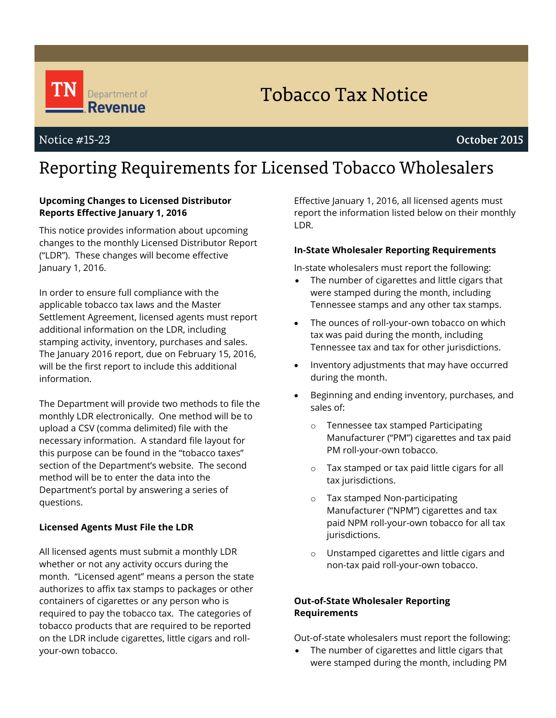

# **Tobacco Tax Notice**

# Notice #15-23

# October 2015

# Reporting Requirements for Licensed Tobacco Wholesalers

### **Upcoming Changes to Licensed Distributor Reports Effective January 1, 2016**

This notice provides information about upcoming changes to the monthly Licensed Distributor Report ("LDR"). These changes will become effective January 1, 2016.

In order to ensure full compliance with the applicable tobacco tax laws and the Master Settlement Agreement, licensed agents must report additional information on the LDR, including stamping activity, inventory, purchases and sales. The January 2016 report, due on February 15, 2016, will be the first report to include this additional information.

The Department will provide two methods to file the monthly LDR electronically. One method will be to upload a CSV (comma delimited) file with the necessary information. A standard file layout for this purpose can be found in the "tobacco taxes" section of the Department's website. The second method will be to enter the data into the Department's portal by answering a series of questions.

#### **Licensed Agents Must File the LDR**

All licensed agents must submit a monthly LDR whether or not any activity occurs during the month. "Licensed agent" means a person the state authorizes to affix tax stamps to packages or other containers of cigarettes or any person who is required to pay the tobacco tax. The categories of tobacco products that are required to be reported on the LDR include cigarettes, little cigars and rollyour-own tobacco.

Effective January 1, 2016, all licensed agents must report the information listed below on their monthly LDR.

#### **In-State Wholesaler Reporting Requirements**

In-state wholesalers must report the following:

- The number of cigarettes and little cigars that were stamped during the month, including Tennessee stamps and any other tax stamps.
- The ounces of roll-your-own tobacco on which tax was paid during the month, including Tennessee tax and tax for other jurisdictions.
- Inventory adjustments that may have occurred during the month.
- Beginning and ending inventory, purchases, and sales of:
	- o Tennessee tax stamped Participating Manufacturer ("PM") cigarettes and tax paid PM roll-your-own tobacco.
	- o Tax stamped or tax paid little cigars for all tax jurisdictions.
	- o Tax stamped Non-participating Manufacturer ("NPM") cigarettes and tax paid NPM roll-your-own tobacco for all tax jurisdictions.
	- o Unstamped cigarettes and little cigars and non-tax paid roll-your-own tobacco.

### **Out-of-State Wholesaler Reporting Requirements**

Out-of-state wholesalers must report the following:

 The number of cigarettes and little cigars that were stamped during the month, including PM